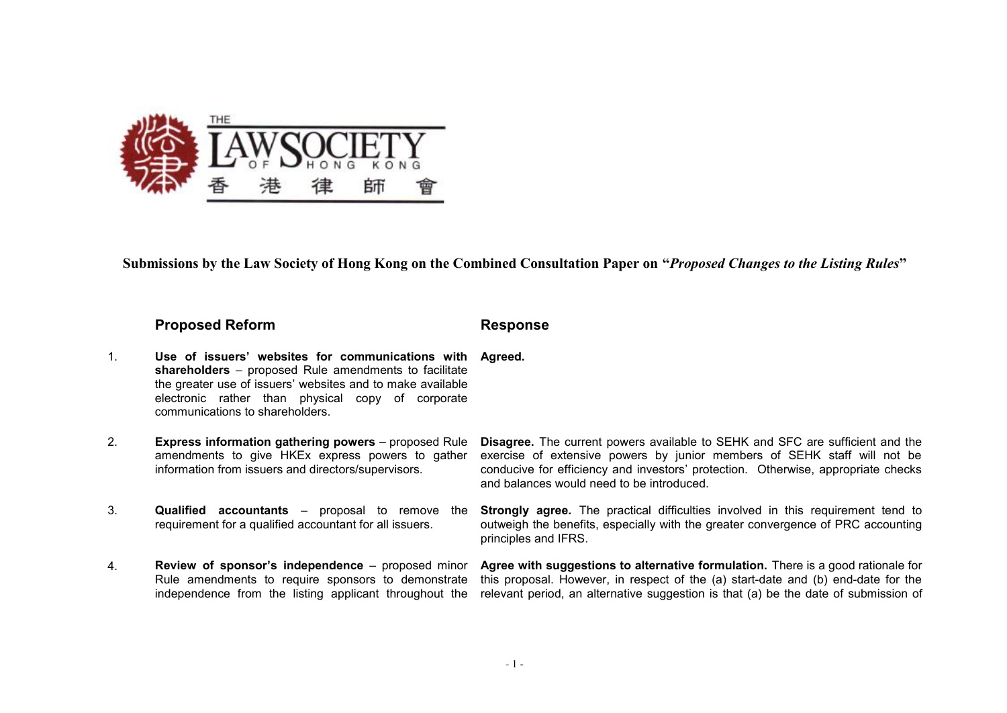

**Submissions by the Law Society of Hong Kong on the Combined Consultation Paper on "***Proposed Changes to the Listing Rules***"**

## **Proposed Reform Response**

- 1. **Use of issuers' websites for communications with shareholders** – proposed Rule amendments to facilitate the greater use of issuers' websites and to make available electronic rather than physical copy of corporate communications to shareholders. **Agreed.**
- 2. **Express information gathering powers** proposed Rule amendments to give HKEx express powers to gather information from issuers and directors/supervisors.
- 3. **Qualified accountants** proposal to remove the requirement for a qualified accountant for all issuers.
- 4. **Review of sponsor's independence** proposed minor Rule amendments to require sponsors to demonstrate independence from the listing applicant throughout the

**Disagree.** The current powers available to SEHK and SFC are sufficient and the exercise of extensive powers by junior members of SEHK staff will not be conducive for efficiency and investors' protection. Otherwise, appropriate checks and balances would need to be introduced.

**Strongly agree.** The practical difficulties involved in this requirement tend to outweigh the benefits, especially with the greater convergence of PRC accounting principles and IFRS.

**Agree with suggestions to alternative formulation.** There is a good rationale for this proposal. However, in respect of the (a) start-date and (b) end-date for the relevant period, an alternative suggestion is that (a) be the date of submission of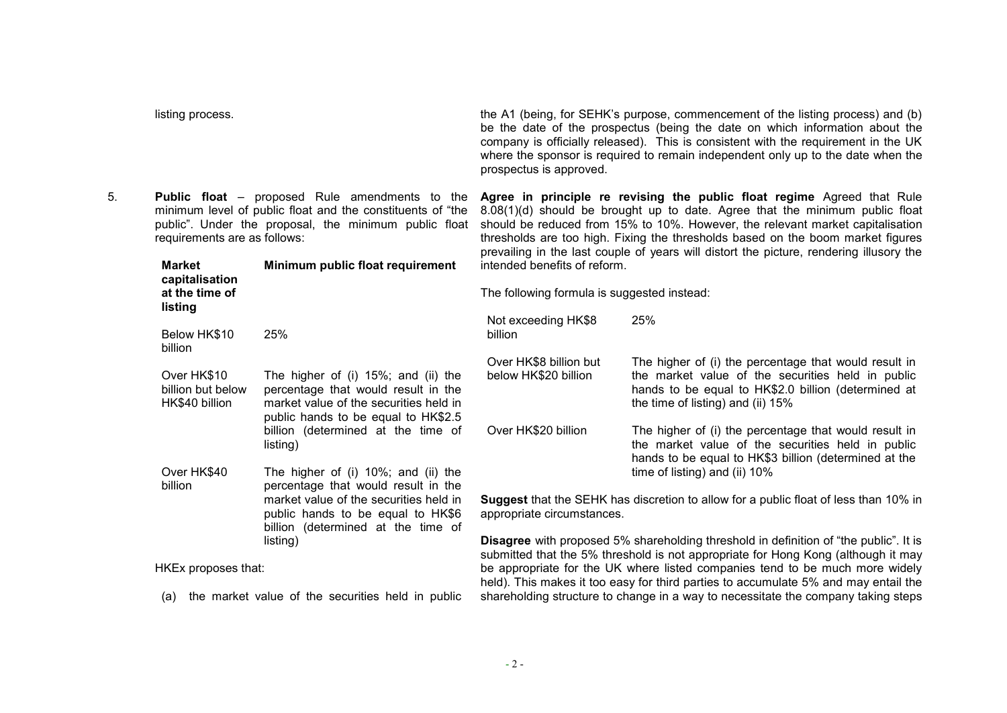| 5. | <b>Public float</b> – proposed Rule amendments to the<br>minimum level of public float and the constituents of "the<br>public". Under the proposal, the minimum public float<br>requirements are as follows: |                                                                                                                                                             | Agree in principle re revising the public float regime Agreed that Rule<br>8.08(1)(d) should be brought up to date. Agree that the minimum public float<br>should be reduced from 15% to 10%. However, the relevant market capitalisation<br>thresholds are too high. Fixing the thresholds based on the boom market figures<br>prevailing in the last couple of years will distort the picture, rendering illusory the<br>intended benefits of reform.<br>The following formula is suggested instead: |                                                                                                                                                                                                        |
|----|--------------------------------------------------------------------------------------------------------------------------------------------------------------------------------------------------------------|-------------------------------------------------------------------------------------------------------------------------------------------------------------|--------------------------------------------------------------------------------------------------------------------------------------------------------------------------------------------------------------------------------------------------------------------------------------------------------------------------------------------------------------------------------------------------------------------------------------------------------------------------------------------------------|--------------------------------------------------------------------------------------------------------------------------------------------------------------------------------------------------------|
|    | <b>Market</b><br>Minimum public float requirement<br>capitalisation<br>at the time of<br>listing                                                                                                             |                                                                                                                                                             |                                                                                                                                                                                                                                                                                                                                                                                                                                                                                                        |                                                                                                                                                                                                        |
|    |                                                                                                                                                                                                              |                                                                                                                                                             |                                                                                                                                                                                                                                                                                                                                                                                                                                                                                                        |                                                                                                                                                                                                        |
|    | Over HK\$10<br>billion but below<br>HK\$40 billion                                                                                                                                                           | The higher of (i) 15%; and (ii) the<br>percentage that would result in the<br>market value of the securities held in<br>public hands to be equal to HK\$2.5 | Over HK\$8 billion but<br>below HK\$20 billion                                                                                                                                                                                                                                                                                                                                                                                                                                                         | The higher of (i) the percentage that would result in<br>the market value of the securities held in public<br>hands to be equal to HK\$2.0 billion (determined at<br>the time of listing) and (ii) 15% |
|    |                                                                                                                                                                                                              | billion (determined at the time of<br>listing)                                                                                                              | Over HK\$20 billion                                                                                                                                                                                                                                                                                                                                                                                                                                                                                    | The higher of (i) the percentage that would result in<br>the market value of the securities held in public<br>hands to be equal to HK\$3 billion (determined at the                                    |
|    | Over HK\$40<br>billion                                                                                                                                                                                       | The higher of (i) 10%; and (ii) the<br>percentage that would result in the                                                                                  |                                                                                                                                                                                                                                                                                                                                                                                                                                                                                                        | time of listing) and (ii) 10%                                                                                                                                                                          |
|    | market value of the securities held in<br>public hands to be equal to HK\$6<br>billion (determined at the time of<br>listing)                                                                                |                                                                                                                                                             | Suggest that the SEHK has discretion to allow for a public float of less than 10% in<br>appropriate circumstances.                                                                                                                                                                                                                                                                                                                                                                                     |                                                                                                                                                                                                        |
|    |                                                                                                                                                                                                              |                                                                                                                                                             | Disagree with proposed 5% shareholding threshold in definition of "the public". It is<br>submitted that the 5% threshold is not appropriate for Hong Kong (although it may                                                                                                                                                                                                                                                                                                                             |                                                                                                                                                                                                        |
|    | HKEx proposes that:                                                                                                                                                                                          |                                                                                                                                                             | be appropriate for the UK where listed companies tend to be much more widely                                                                                                                                                                                                                                                                                                                                                                                                                           |                                                                                                                                                                                                        |

listing process. The A1 (being, for SEHK's purpose, commencement of the listing process) and (b)

prospectus is approved.

(a) the market value of the securities held in public

be the date of the prospectus (being the date on which information about the company is officially released). This is consistent with the requirement in the UK where the sponsor is required to remain independent only up to the date when the

submitted that the 5% threshold is not appropriate for Hong Kong (although it may be appropriate for the UK where listed companies tend to be much more widely held). This makes it too easy for third parties to accumulate 5% and may entail the shareholding structure to change in a way to necessitate the company taking steps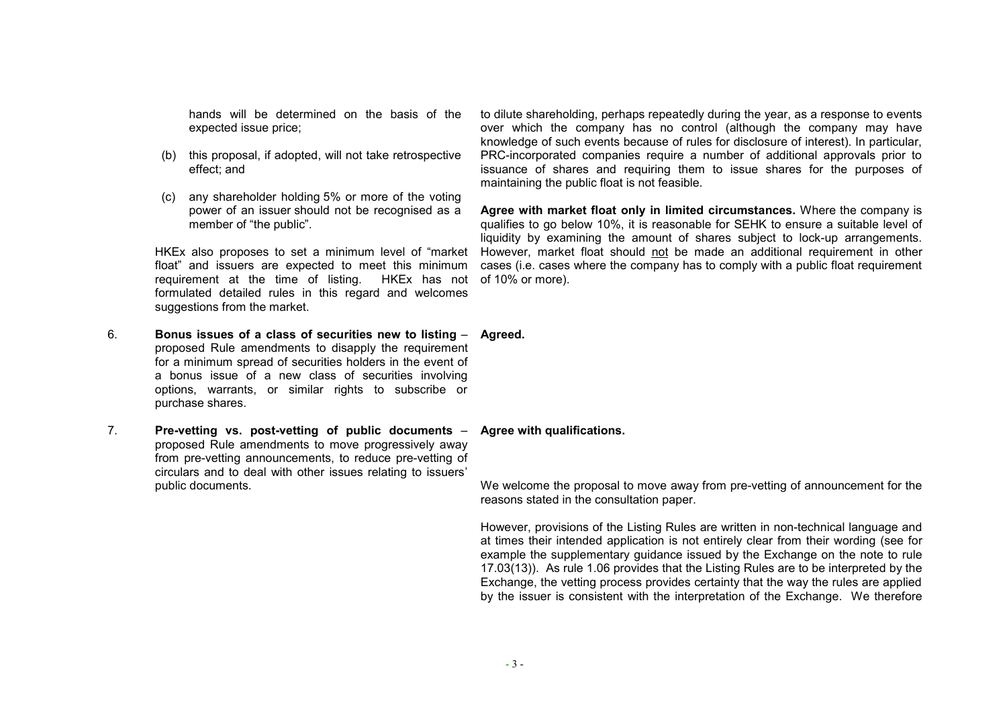hands will be determined on the basis of the expected issue price;

- (b) this proposal, if adopted, will not take retrospective effect; and
- (c) any shareholder holding 5% or more of the voting power of an issuer should not be recognised as a member of "the public".

HKEx also proposes to set a minimum level of "market float" and issuers are expected to meet this minimum requirement at the time of listing. HKEx has not formulated detailed rules in this regard and welcomes suggestions from the market.

- 6. **Bonus issues of a class of securities new to listing Agreed.**  proposed Rule amendments to disapply the requirement for a minimum spread of securities holders in the event of a bonus issue of a new class of securities involving options, warrants, or similar rights to subscribe or purchase shares.
- 7. **Pre-vetting vs. post-vetting of public documents** proposed Rule amendments to move progressively away from pre-vetting announcements, to reduce pre-vetting of circulars and to deal with other issues relating to issuers' public documents.

to dilute shareholding, perhaps repeatedly during the year, as a response to events over which the company has no control (although the company may have knowledge of such events because of rules for disclosure of interest). In particular, PRC-incorporated companies require a number of additional approvals prior to issuance of shares and requiring them to issue shares for the purposes of maintaining the public float is not feasible.

**Agree with market float only in limited circumstances.** Where the company is qualifies to go below 10%, it is reasonable for SEHK to ensure a suitable level of liquidity by examining the amount of shares subject to lock-up arrangements. However, market float should not be made an additional requirement in other cases (i.e. cases where the company has to comply with a public float requirement of 10% or more).

**Agree with qualifications.** 

We welcome the proposal to move away from pre-vetting of announcement for the reasons stated in the consultation paper.

However, provisions of the Listing Rules are written in non-technical language and at times their intended application is not entirely clear from their wording (see for example the supplementary guidance issued by the Exchange on the note to rule 17.03(13)). As rule 1.06 provides that the Listing Rules are to be interpreted by the Exchange, the vetting process provides certainty that the way the rules are applied by the issuer is consistent with the interpretation of the Exchange. We therefore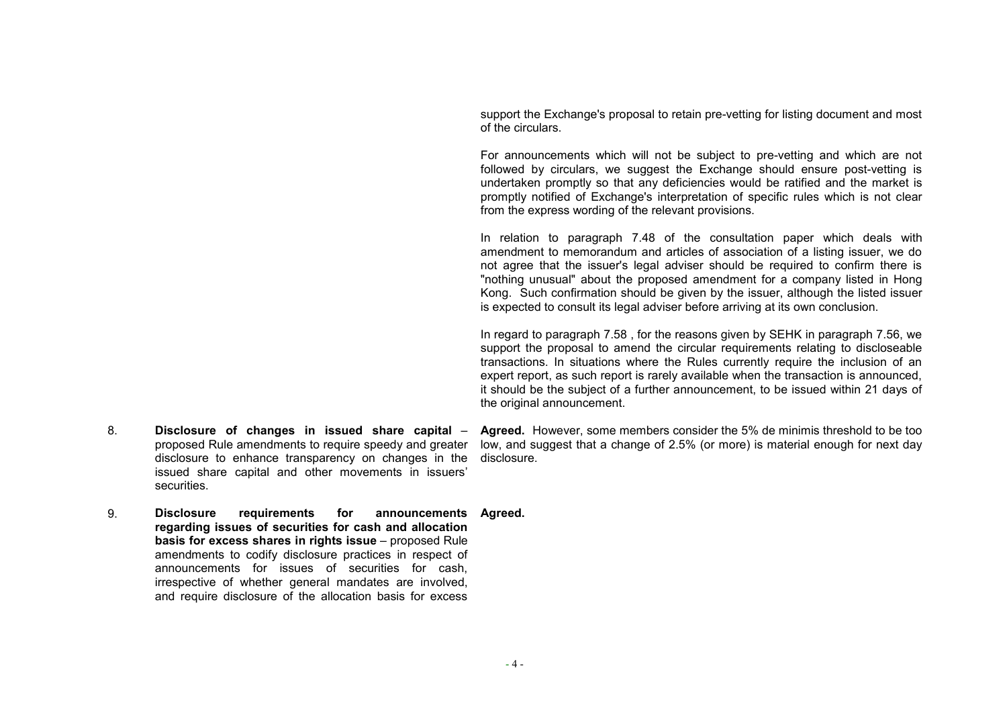support the Exchange's proposal to retain pre-vetting for listing document and most of the circulars.

For announcements which will not be subject to pre-vetting and which are not followed by circulars, we suggest the Exchange should ensure post-vetting is undertaken promptly so that any deficiencies would be ratified and the market is promptly notified of Exchange's interpretation of specific rules which is not clear from the express wording of the relevant provisions.

In relation to paragraph 7.48 of the consultation paper which deals with amendment to memorandum and articles of association of a listing issuer, we do not agree that the issuer's legal adviser should be required to confirm there is "nothing unusual" about the proposed amendment for a company listed in Hong Kong. Such confirmation should be given by the issuer, although the listed issuer is expected to consult its legal adviser before arriving at its own conclusion.

In regard to paragraph 7.58 , for the reasons given by SEHK in paragraph 7.56, we support the proposal to amend the circular requirements relating to discloseable transactions. In situations where the Rules currently require the inclusion of an expert report, as such report is rarely available when the transaction is announced, it should be the subject of a further announcement, to be issued within 21 days of the original announcement.

- 8. **Disclosure of changes in issued share capital** proposed Rule amendments to require speedy and greater disclosure to enhance transparency on changes in the issued share capital and other movements in issuers' securities.
- **Agreed.** However, some members consider the 5% de minimis threshold to be too low, and suggest that a change of 2.5% (or more) is material enough for next day disclosure.
- 9. **Disclosure requirements for announcements Agreed. regarding issues of securities for cash and allocation basis for excess shares in rights issue** – proposed Rule amendments to codify disclosure practices in respect of announcements for issues of securities for cash, irrespective of whether general mandates are involved, and require disclosure of the allocation basis for excess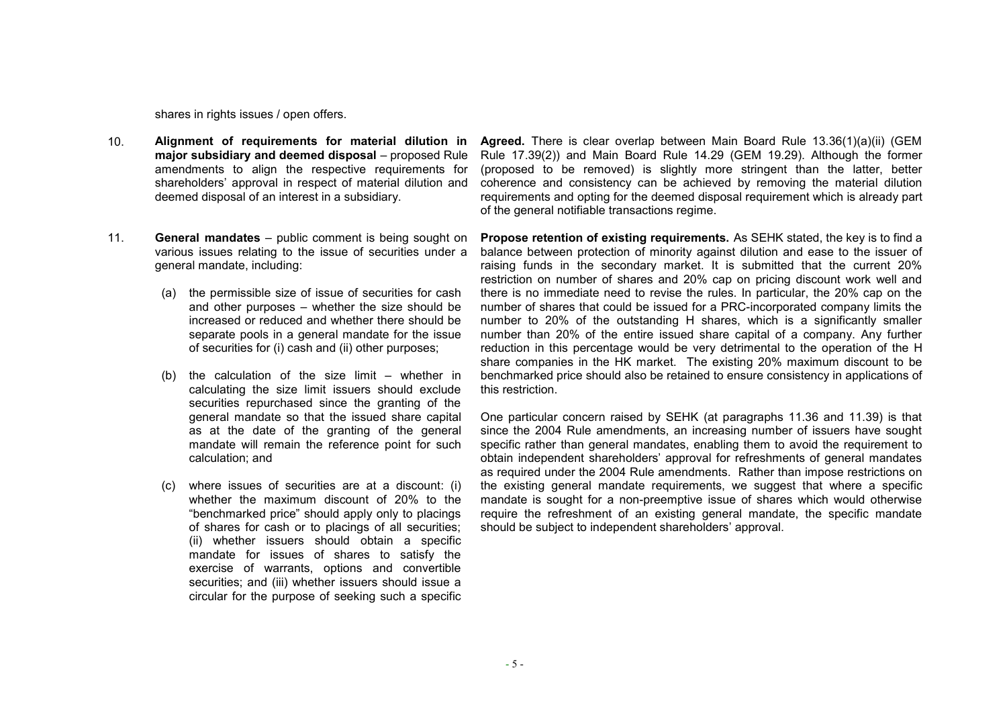shares in rights issues / open offers.

- 10. **Alignment of requirements for material dilution in major subsidiary and deemed disposal** – proposed Rule amendments to align the respective requirements for shareholders' approval in respect of material dilution and deemed disposal of an interest in a subsidiary.
- 11. **General mandates** public comment is being sought on various issues relating to the issue of securities under a general mandate, including:
	- (a) the permissible size of issue of securities for cash and other purposes – whether the size should be increased or reduced and whether there should be separate pools in a general mandate for the issue of securities for (i) cash and (ii) other purposes;
	- (b) the calculation of the size limit whether in calculating the size limit issuers should exclude securities repurchased since the granting of the general mandate so that the issued share capital as at the date of the granting of the general mandate will remain the reference point for such calculation; and
	- (c) where issues of securities are at a discount: (i) whether the maximum discount of 20% to the "benchmarked price" should apply only to placings of shares for cash or to placings of all securities; (ii) whether issuers should obtain a specific mandate for issues of shares to satisfy the exercise of warrants, options and convertible securities; and (iii) whether issuers should issue a circular for the purpose of seeking such a specific

**Agreed.** There is clear overlap between Main Board Rule 13.36(1)(a)(ii) (GEM Rule 17.39(2)) and Main Board Rule 14.29 (GEM 19.29). Although the former (proposed to be removed) is slightly more stringent than the latter, better coherence and consistency can be achieved by removing the material dilution requirements and opting for the deemed disposal requirement which is already part of the general notifiable transactions regime.

**Propose retention of existing requirements.** As SEHK stated, the key is to find a balance between protection of minority against dilution and ease to the issuer of raising funds in the secondary market. It is submitted that the current 20% restriction on number of shares and 20% cap on pricing discount work well and there is no immediate need to revise the rules. In particular, the 20% cap on the number of shares that could be issued for a PRC-incorporated company limits the number to 20% of the outstanding H shares, which is a significantly smaller number than 20% of the entire issued share capital of a company. Any further reduction in this percentage would be very detrimental to the operation of the H share companies in the HK market. The existing 20% maximum discount to be benchmarked price should also be retained to ensure consistency in applications of this restriction.

One particular concern raised by SEHK (at paragraphs 11.36 and 11.39) is that since the 2004 Rule amendments, an increasing number of issuers have sought specific rather than general mandates, enabling them to avoid the requirement to obtain independent shareholders' approval for refreshments of general mandates as required under the 2004 Rule amendments. Rather than impose restrictions on the existing general mandate requirements, we suggest that where a specific mandate is sought for a non-preemptive issue of shares which would otherwise require the refreshment of an existing general mandate, the specific mandate should be subject to independent shareholders' approval.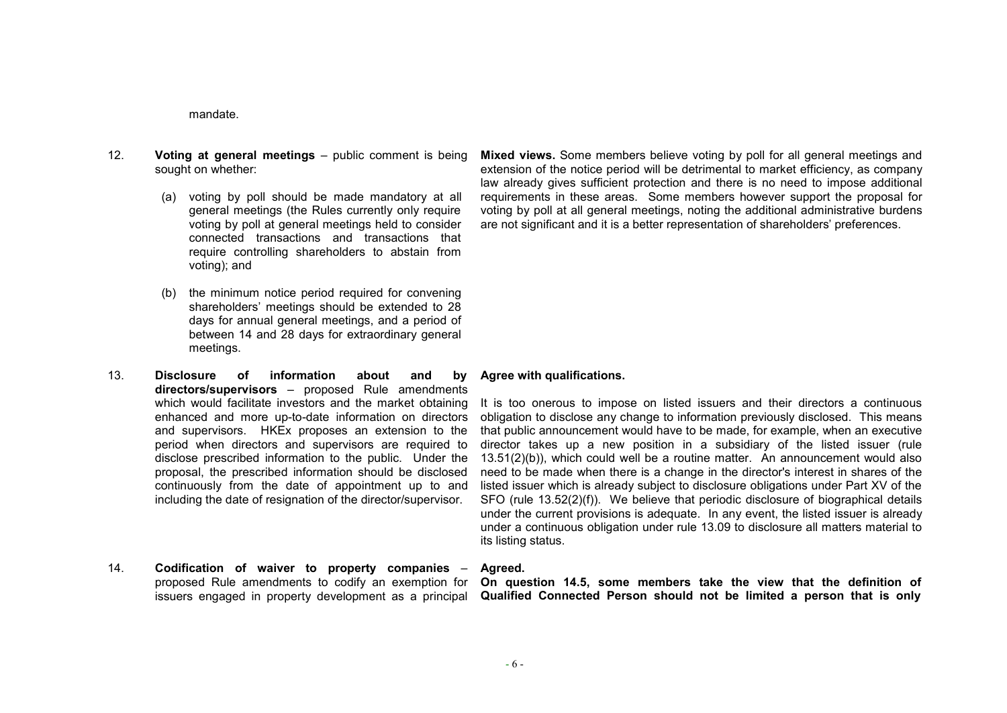mandate.

- 12. **Voting at general meetings** public comment is being sought on whether:
	- (a) voting by poll should be made mandatory at all general meetings (the Rules currently only require voting by poll at general meetings held to consider connected transactions and transactions that require controlling shareholders to abstain from voting); and
	- (b) the minimum notice period required for convening shareholders' meetings should be extended to 28 days for annual general meetings, and a period of between 14 and 28 days for extraordinary general meetings.
- 13. **Disclosure of information about and by directors/supervisors** – proposed Rule amendments which would facilitate investors and the market obtaining enhanced and more up-to-date information on directors and supervisors. HKEx proposes an extension to the period when directors and supervisors are required to disclose prescribed information to the public. Under the proposal, the prescribed information should be disclosed continuously from the date of appointment up to and including the date of resignation of the director/supervisor.
- 14. **Codification of waiver to property companies** proposed Rule amendments to codify an exemption for issuers engaged in property development as a principal

**Mixed views.** Some members believe voting by poll for all general meetings and extension of the notice period will be detrimental to market efficiency, as company law already gives sufficient protection and there is no need to impose additional requirements in these areas. Some members however support the proposal for voting by poll at all general meetings, noting the additional administrative burdens are not significant and it is a better representation of shareholders' preferences.

## **Agree with qualifications.**

It is too onerous to impose on listed issuers and their directors a continuous obligation to disclose any change to information previously disclosed. This means that public announcement would have to be made, for example, when an executive director takes up a new position in a subsidiary of the listed issuer (rule 13.51(2)(b)), which could well be a routine matter. An announcement would also need to be made when there is a change in the director's interest in shares of the listed issuer which is already subject to disclosure obligations under Part XV of the SFO (rule 13.52(2)(f)). We believe that periodic disclosure of biographical details under the current provisions is adequate. In any event, the listed issuer is already under a continuous obligation under rule 13.09 to disclosure all matters material to its listing status.

### **Agreed.**

**On question 14.5, some members take the view that the definition of Qualified Connected Person should not be limited a person that is only**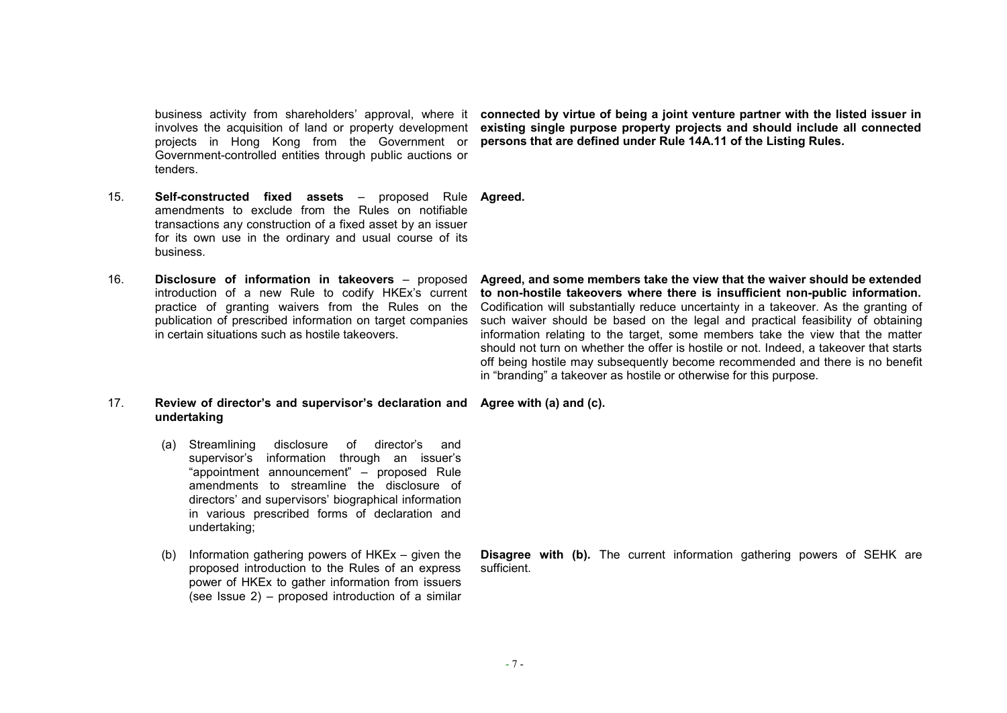business activity from shareholders' approval, where it involves the acquisition of land or property development projects in Hong Kong from the Government or Government-controlled entities through public auctions or tenders.

**connected by virtue of being a joint venture partner with the listed issuer in existing single purpose property projects and should include all connected persons that are defined under Rule 14A.11 of the Listing Rules.** 

- 15. **Self-constructed fixed assets** proposed Rule **Agreed.**  amendments to exclude from the Rules on notifiable transactions any construction of a fixed asset by an issuer for its own use in the ordinary and usual course of its business.
- 16. **Disclosure of information in takeovers** proposed introduction of a new Rule to codify HKEx's current practice of granting waivers from the Rules on the publication of prescribed information on target companies in certain situations such as hostile takeovers.

**Agreed, and some members take the view that the waiver should be extended to non-hostile takeovers where there is insufficient non-public information.** Codification will substantially reduce uncertainty in a takeover. As the granting of such waiver should be based on the legal and practical feasibility of obtaining information relating to the target, some members take the view that the matter should not turn on whether the offer is hostile or not. Indeed, a takeover that starts off being hostile may subsequently become recommended and there is no benefit in "branding" a takeover as hostile or otherwise for this purpose.

#### 17. **Review of director's and supervisor's declaration and undertaking Agree with (a) and (c).**

- (a) Streamlining disclosure of director's and supervisor's information through an issuer's "appointment announcement" – proposed Rule amendments to streamline the disclosure of directors' and supervisors' biographical information in various prescribed forms of declaration and undertaking;
- (b) Information gathering powers of HKEx given the proposed introduction to the Rules of an express power of HKEx to gather information from issuers (see Issue 2) – proposed introduction of a similar

**Disagree with (b).** The current information gathering powers of SEHK are sufficient.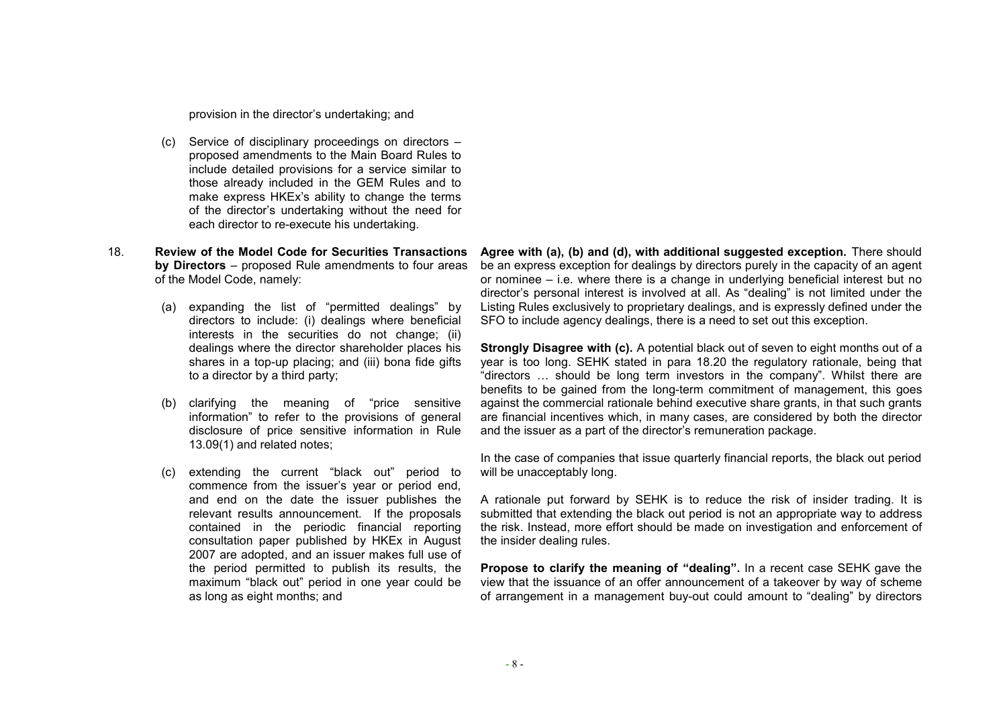provision in the director's undertaking; and

- (c) Service of disciplinary proceedings on directors proposed amendments to the Main Board Rules to include detailed provisions for a service similar to those already included in the GEM Rules and to make express HKEx's ability to change the terms of the director's undertaking without the need for each director to re-execute his undertaking.
- 18. **Review of the Model Code for Securities Transactions by Directors** – proposed Rule amendments to four areas of the Model Code, namely:
	- (a) expanding the list of "permitted dealings" by directors to include: (i) dealings where beneficial interests in the securities do not change; (ii) dealings where the director shareholder places his shares in a top-up placing; and (iii) bona fide gifts to a director by a third party;
	- (b) clarifying the meaning of "price sensitive information" to refer to the provisions of general disclosure of price sensitive information in Rule 13.09(1) and related notes;
	- (c) extending the current "black out" period to commence from the issuer's year or period end, and end on the date the issuer publishes the relevant results announcement. If the proposals contained in the periodic financial reporting consultation paper published by HKEx in August 2007 are adopted, and an issuer makes full use of the period permitted to publish its results, the maximum "black out" period in one year could be as long as eight months; and

**Agree with (a), (b) and (d), with additional suggested exception.** There should be an express exception for dealings by directors purely in the capacity of an agent or nominee – i.e. where there is a change in underlying beneficial interest but no director's personal interest is involved at all. As "dealing" is not limited under the Listing Rules exclusively to proprietary dealings, and is expressly defined under the SFO to include agency dealings, there is a need to set out this exception.

**Strongly Disagree with (c).** A potential black out of seven to eight months out of a year is too long. SEHK stated in para 18.20 the regulatory rationale, being that "directors … should be long term investors in the company". Whilst there are benefits to be gained from the long-term commitment of management, this goes against the commercial rationale behind executive share grants, in that such grants are financial incentives which, in many cases, are considered by both the director and the issuer as a part of the director's remuneration package.

In the case of companies that issue quarterly financial reports, the black out period will be unacceptably long.

A rationale put forward by SEHK is to reduce the risk of insider trading. It is submitted that extending the black out period is not an appropriate way to address the risk. Instead, more effort should be made on investigation and enforcement of the insider dealing rules.

**Propose to clarify the meaning of "dealing".** In a recent case SEHK gave the view that the issuance of an offer announcement of a takeover by way of scheme of arrangement in a management buy-out could amount to "dealing" by directors